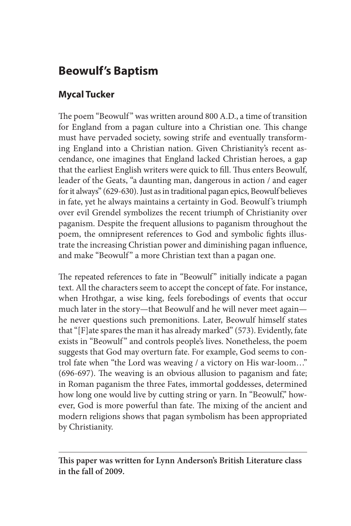## **Beowulf's Baptism**

## **Mycal Tucker**

The poem "Beowulf" was written around 800 A.D., a time of transition for England from a pagan culture into a Christian one. This change must have pervaded society, sowing strife and eventually transforming England into a Christian nation. Given Christianity's recent ascendance, one imagines that England lacked Christian heroes, a gap that the earliest English writers were quick to fill. Thus enters Beowulf, leader of the Geats, "a daunting man, dangerous in action / and eager for it always" (629-630). Just as in traditional pagan epics, Beowulf believes in fate, yet he always maintains a certainty in God. Beowulf 's triumph over evil Grendel symbolizes the recent triumph of Christianity over paganism. Despite the frequent allusions to paganism throughout the poem, the omnipresent references to God and symbolic fights illustrate the increasing Christian power and diminishing pagan influence, and make "Beowulf " a more Christian text than a pagan one.

The repeated references to fate in "Beowulf" initially indicate a pagan text. All the characters seem to accept the concept of fate. For instance, when Hrothgar, a wise king, feels forebodings of events that occur much later in the story—that Beowulf and he will never meet again he never questions such premonitions. Later, Beowulf himself states that "[F]ate spares the man it has already marked" (573). Evidently, fate exists in "Beowulf" and controls people's lives. Nonetheless, the poem suggests that God may overturn fate. For example, God seems to control fate when "the Lord was weaving / a victory on His war-loom…" (696-697). The weaving is an obvious allusion to paganism and fate; in Roman paganism the three Fates, immortal goddesses, determined how long one would live by cutting string or yarn. In "Beowulf," however, God is more powerful than fate. The mixing of the ancient and modern religions shows that pagan symbolism has been appropriated by Christianity.

**This paper was written for Lynn Anderson's British Literature class in the fall of 2009.**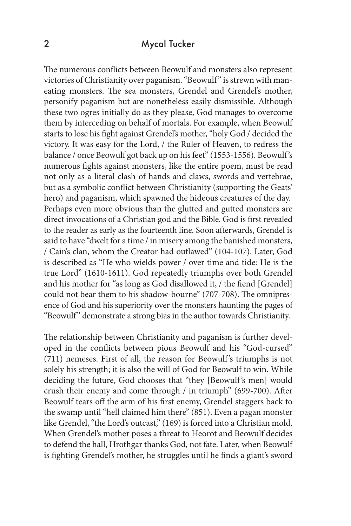## 2 Mycal Tucker

The numerous conflicts between Beowulf and monsters also represent victories of Christianity over paganism. "Beowulf" is strewn with maneating monsters. The sea monsters, Grendel and Grendel's mother, personify paganism but are nonetheless easily dismissible. Although these two ogres initially do as they please, God manages to overcome them by interceding on behalf of mortals. For example, when Beowulf starts to lose his fight against Grendel's mother, "holy God / decided the victory. It was easy for the Lord, / the Ruler of Heaven, to redress the balance / once Beowulf got back up on his feet" (1553-1556). Beowulf 's numerous fights against monsters, like the entire poem, must be read not only as a literal clash of hands and claws, swords and vertebrae, but as a symbolic conflict between Christianity (supporting the Geats' hero) and paganism, which spawned the hideous creatures of the day. Perhaps even more obvious than the glutted and gutted monsters are direct invocations of a Christian god and the Bible. God is first revealed to the reader as early as the fourteenth line. Soon afterwards, Grendel is said to have "dwelt for a time / in misery among the banished monsters, / Cain's clan, whom the Creator had outlawed" (104-107). Later, God is described as "He who wields power / over time and tide: He is the true Lord" (1610-1611). God repeatedly triumphs over both Grendel and his mother for "as long as God disallowed it, / the fiend [Grendel] could not bear them to his shadow-bourne" (707-708). The omnipresence of God and his superiority over the monsters haunting the pages of "Beowulf" demonstrate a strong bias in the author towards Christianity.

The relationship between Christianity and paganism is further developed in the conflicts between pious Beowulf and his "God-cursed" (711) nemeses. First of all, the reason for Beowulf 's triumphs is not solely his strength; it is also the will of God for Beowulf to win. While deciding the future, God chooses that "they [Beowulf's men] would crush their enemy and come through / in triumph" (699-700). After Beowulf tears off the arm of his first enemy, Grendel staggers back to the swamp until "hell claimed him there" (851). Even a pagan monster like Grendel, "the Lord's outcast," (169) is forced into a Christian mold. When Grendel's mother poses a threat to Heorot and Beowulf decides to defend the hall, Hrothgar thanks God, not fate. Later, when Beowulf is fighting Grendel's mother, he struggles until he finds a giant's sword